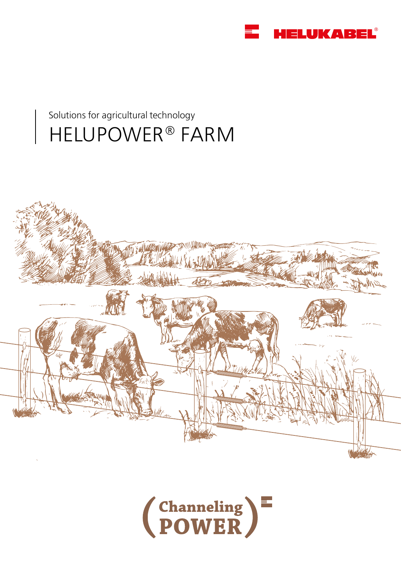

## Solutions for agricultural technology HELUPOWER® FARM